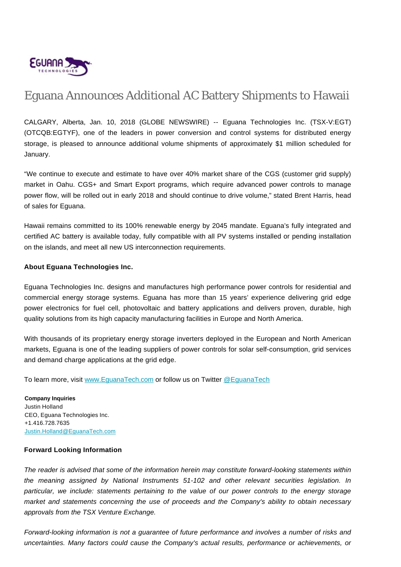

## Eguana Announces Additional AC Battery Shipments to Hawaii

CALGARY, Alberta, Jan. 10, 2018 (GLOBE NEWSWIRE) -- Eguana Technologies Inc. (TSX-V:EGT) (OTCQB:EGTYF), one of the leaders in power conversion and control systems for distributed energy storage, is pleased to announce additional volume shipments of approximately \$1 million scheduled for January.

"We continue to execute and estimate to have over 40% market share of the CGS (customer grid supply) market in Oahu. CGS+ and Smart Export programs, which require advanced power controls to manage power flow, will be rolled out in early 2018 and should continue to drive volume," stated Brent Harris, head of sales for Eguana.

Hawaii remains committed to its 100% renewable energy by 2045 mandate. Eguana's fully integrated and certified AC battery is available today, fully compatible with all PV systems installed or pending installation on the islands, and meet all new US interconnection requirements.

## **About Eguana Technologies Inc.**

Eguana Technologies Inc. designs and manufactures high performance power controls for residential and commercial energy storage systems. Eguana has more than 15 years' experience delivering grid edge power electronics for fuel cell, photovoltaic and battery applications and delivers proven, durable, high quality solutions from its high capacity manufacturing facilities in Europe and North America.

With thousands of its proprietary energy storage inverters deployed in the European and North American markets, Eguana is one of the leading suppliers of power controls for solar self-consumption, grid services and demand charge applications at the grid edge.

To learn more, visit [www.EguanaTech.com](http://www.eguanatech.com/) or follow us on Twitter [@EguanaTech](https://twitter.com/EguanaTech)

**Company Inquiries** Justin Holland CEO, Eguana Technologies Inc. +1.416.728.7635 [Justin.Holland@EguanaTech.com](mailto:Justin.Holland@EguanaTech.com)

## **Forward Looking Information**

The reader is advised that some of the information herein may constitute forward-looking statements within the meaning assigned by National Instruments 51-102 and other relevant securities legislation. In particular, we include: statements pertaining to the value of our power controls to the energy storage market and statements concerning the use of proceeds and the Company's ability to obtain necessary approvals from the TSX Venture Exchange.

Forward-looking information is not a guarantee of future performance and involves a number of risks and uncertainties. Many factors could cause the Company's actual results, performance or achievements, or